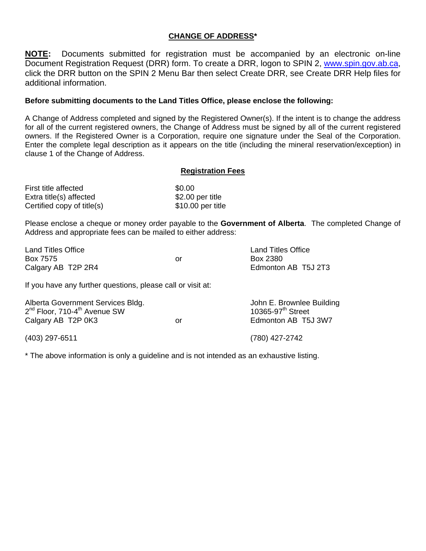## **CHANGE OF ADDRESS\***

**NOTE:** Documents submitted for registration must be accompanied by an electronic on-line Document Registration Request (DRR) form. To create a DRR, logon to SPIN 2, [www.spin.gov.ab.ca,](http://www.spin.gov.ab.ca/) click the DRR button on the SPIN 2 Menu Bar then select Create DRR, see Create DRR Help files for additional information.

## **Before submitting documents to the Land Titles Office, please enclose the following:**

A Change of Address completed and signed by the Registered Owner(s). If the intent is to change the address for all of the current registered owners, the Change of Address must be signed by all of the current registered owners. If the Registered Owner is a Corporation, require one signature under the Seal of the Corporation. Enter the complete legal description as it appears on the title (including the mineral reservation/exception) in clause 1 of the Change of Address.

## **Registration Fees**

| First title affected       | \$0.00             |
|----------------------------|--------------------|
| Extra title(s) affected    | $$2.00$ per title  |
| Certified copy of title(s) | $$10.00$ per title |

Please enclose a cheque or money order payable to the **Government of Alberta**. The completed Change of Address and appropriate fees can be mailed to either address:

| <b>Land Titles Office</b> |    | <b>Land Titles Office</b> |
|---------------------------|----|---------------------------|
| Box 7575                  | Ωr | Box 2380                  |
| Calgary AB T2P 2R4        |    | Edmonton AB T5J 2T3       |

If you have any further questions, please call or visit at:

| Alberta Government Services Bldg.<br>2 <sup>nd</sup> Floor, 710-4 <sup>th</sup> Avenue SW<br>Calgary AB T2P 0K3 | or | John E. Brownlee Building<br>10365-97 <sup>th</sup> Street<br>Edmonton AB T5J 3W7 |
|-----------------------------------------------------------------------------------------------------------------|----|-----------------------------------------------------------------------------------|
| $(403)$ 297-6511                                                                                                |    | (780) 427-2742                                                                    |

\* The above information is only a guideline and is not intended as an exhaustive listing.